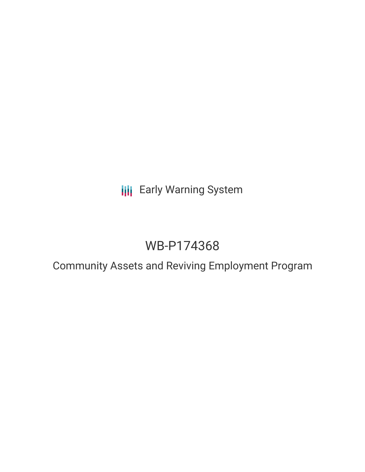# **III** Early Warning System

# WB-P174368

## Community Assets and Reviving Employment Program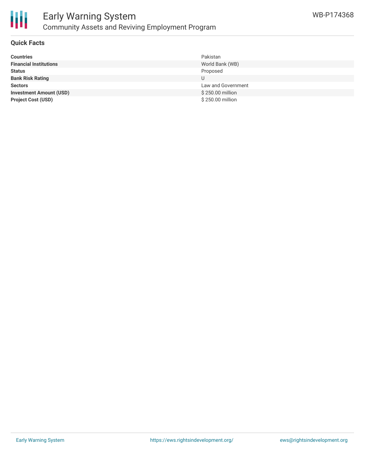



### **Quick Facts**

| <b>Countries</b>               | Pakistan           |
|--------------------------------|--------------------|
| <b>Financial Institutions</b>  | World Bank (WB)    |
| <b>Status</b>                  | Proposed           |
| <b>Bank Risk Rating</b>        |                    |
| <b>Sectors</b>                 | Law and Government |
| <b>Investment Amount (USD)</b> | \$250.00 million   |
| <b>Project Cost (USD)</b>      | \$250.00 million   |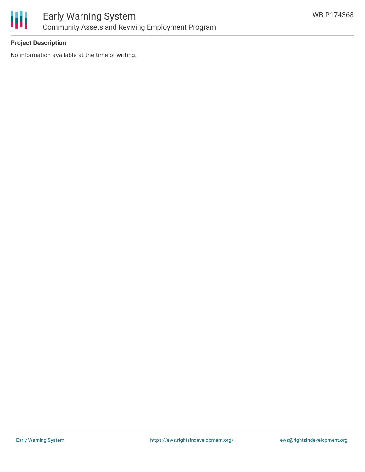

### **Project Description**

No information available at the time of writing.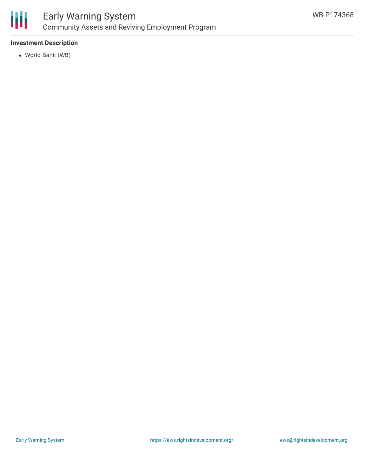

### Early Warning System Community Assets and Reviving Employment Program

### **Investment Description**

World Bank (WB)